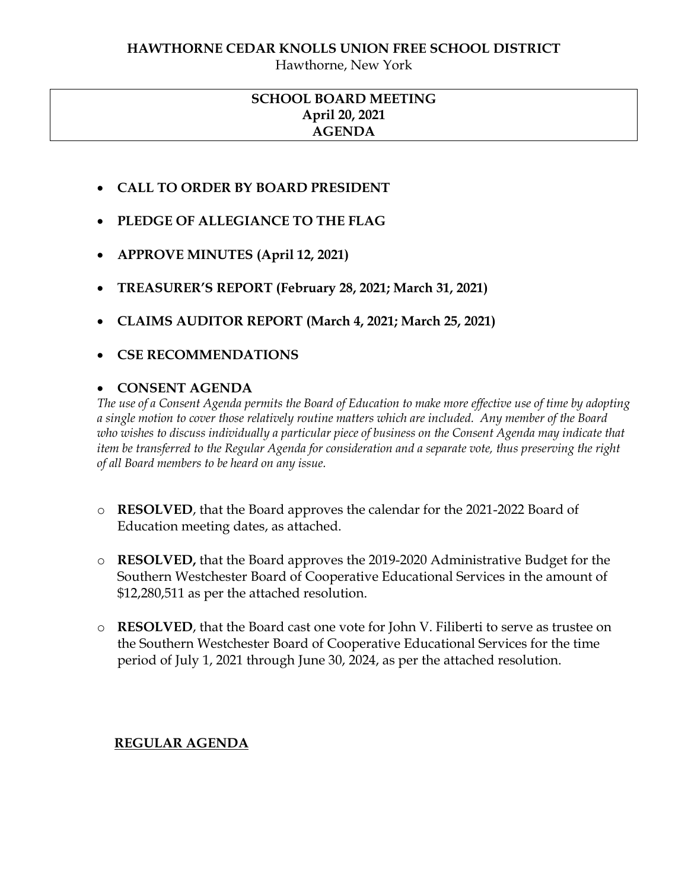Hawthorne, New York

## **SCHOOL BOARD MEETING April 20, 2021 AGENDA**

- **CALL TO ORDER BY BOARD PRESIDENT**
- **PLEDGE OF ALLEGIANCE TO THE FLAG**
- **APPROVE MINUTES (April 12, 2021)**
- **TREASURER'S REPORT (February 28, 2021; March 31, 2021)**
- **CLAIMS AUDITOR REPORT (March 4, 2021; March 25, 2021)**
- **CSE RECOMMENDATIONS**

## **CONSENT AGENDA**

*The use of a Consent Agenda permits the Board of Education to make more effective use of time by adopting a single motion to cover those relatively routine matters which are included. Any member of the Board who wishes to discuss individually a particular piece of business on the Consent Agenda may indicate that item be transferred to the Regular Agenda for consideration and a separate vote, thus preserving the right of all Board members to be heard on any issue.* 

- o **RESOLVED**, that the Board approves the calendar for the 2021-2022 Board of Education meeting dates, as attached.
- o **RESOLVED,** that the Board approves the 2019-2020 Administrative Budget for the Southern Westchester Board of Cooperative Educational Services in the amount of \$12,280,511 as per the attached resolution.
- o **RESOLVED**, that the Board cast one vote for John V. Filiberti to serve as trustee on the Southern Westchester Board of Cooperative Educational Services for the time period of July 1, 2021 through June 30, 2024, as per the attached resolution.

## **REGULAR AGENDA**